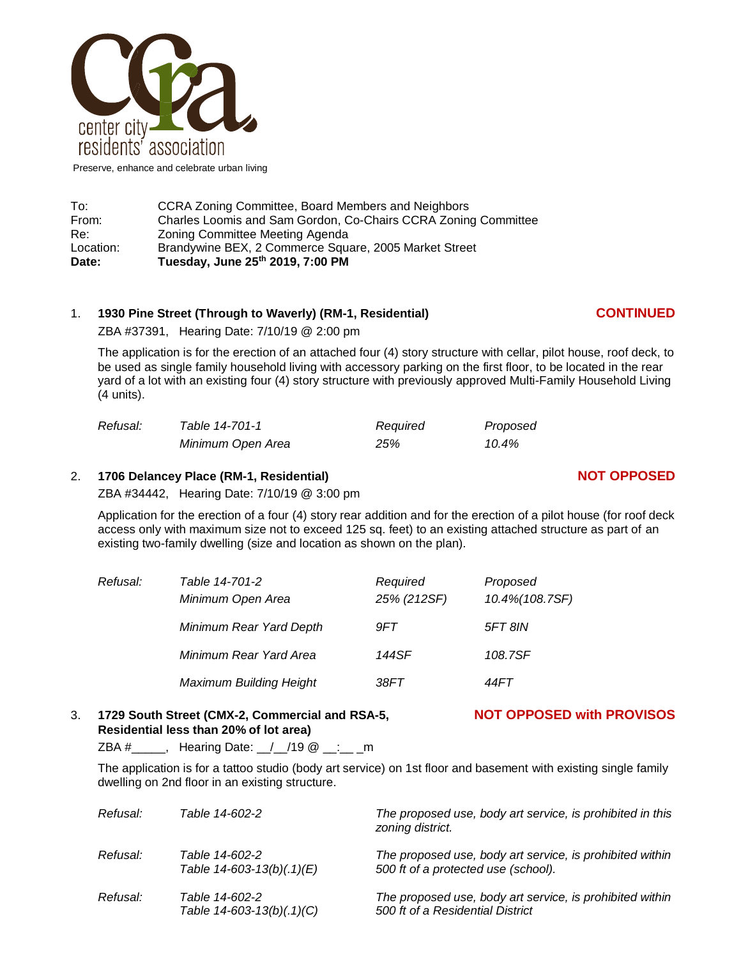

Preserve, enhance and celebrate urban living

| Date:     | Tuesday, June 25th 2019, 7:00 PM                               |
|-----------|----------------------------------------------------------------|
| Location: | Brandywine BEX, 2 Commerce Square, 2005 Market Street          |
| Re:       | Zoning Committee Meeting Agenda                                |
| From:     | Charles Loomis and Sam Gordon, Co-Chairs CCRA Zoning Committee |
| To:       | CCRA Zoning Committee, Board Members and Neighbors             |

## 1. **1930 Pine Street (Through to Waverly) (RM-1, Residential) CONTINUED**

ZBA #37391, Hearing Date: 7/10/19 @ 2:00 pm

The application is for the erection of an attached four (4) story structure with cellar, pilot house, roof deck, to be used as single family household living with accessory parking on the first floor, to be located in the rear yard of a lot with an existing four (4) story structure with previously approved Multi-Family Household Living (4 units).

| Refusal: | Table 14-701-1    | Required | Proposed |
|----------|-------------------|----------|----------|
|          | Minimum Open Area | 25%      | 10.4%    |

#### 2. **1706 Delancey Place (RM-1, Residential) NOT OPPOSED**

ZBA #34442, Hearing Date: 7/10/19 @ 3:00 pm

Application for the erection of a four (4) story rear addition and for the erection of a pilot house (for roof deck access only with maximum size not to exceed 125 sq. feet) to an existing attached structure as part of an existing two-family dwelling (size and location as shown on the plan).

| Refusal: | Table 14-701-2<br>Minimum Open Area | Required<br>25% (212SF) | Proposed<br>10.4% (108.7SF) |
|----------|-------------------------------------|-------------------------|-----------------------------|
|          | Minimum Rear Yard Depth             | 9FT                     | <b>5FT 8IN</b>              |
|          | Minimum Rear Yard Area              | 144SF                   | 108.7SF                     |
|          | <b>Maximum Building Height</b>      | 38FT                    | 44FT                        |

### 3. **1729 South Street (CMX-2, Commercial and RSA-5, NOT OPPOSED with PROVISOS Residential less than 20% of lot area)**

 $ZBA #$ , Hearing Date: / /19  $@$ : m

The application is for a tattoo studio (body art service) on 1st floor and basement with existing single family dwelling on 2nd floor in an existing structure.

| Refusal: | Table 14-602-2                                    | The proposed use, body art service, is prohibited in this<br>zoning district.                   |
|----------|---------------------------------------------------|-------------------------------------------------------------------------------------------------|
| Refusal: | Table 14-602-2<br>Table $14 - 603 - 13(b)(.1)(E)$ | The proposed use, body art service, is prohibited within<br>500 ft of a protected use (school). |
| Refusal: | Table 14-602-2<br>Table $14 - 603 - 13(b)(.1)(C)$ | The proposed use, body art service, is prohibited within<br>500 ft of a Residential District    |